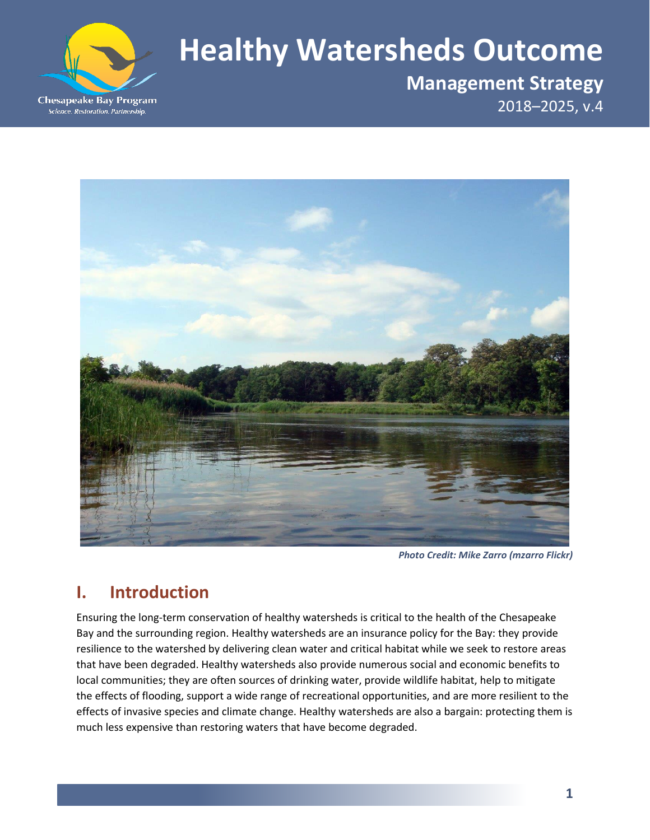

# **Healthy Watersheds Outcome**

**Management Strategy** 2018–2025, v.4



*Photo Credit: Mike Zarro (mzarro Flickr)*

# **I. Introduction**

Ensuring the long-term conservation of healthy watersheds is critical to the health of the Chesapeake Bay and the surrounding region. Healthy watersheds are an insurance policy for the Bay: they provide resilience to the watershed by delivering clean water and critical habitat while we seek to restore areas that have been degraded. Healthy watersheds also provide numerous social and economic benefits to local communities; they are often sources of drinking water, provide wildlife habitat, help to mitigate the effects of flooding, support a wide range of recreational opportunities, and are more resilient to the effects of invasive species and climate change. Healthy watersheds are also a bargain: protecting them is much less expensive than restoring waters that have become degraded.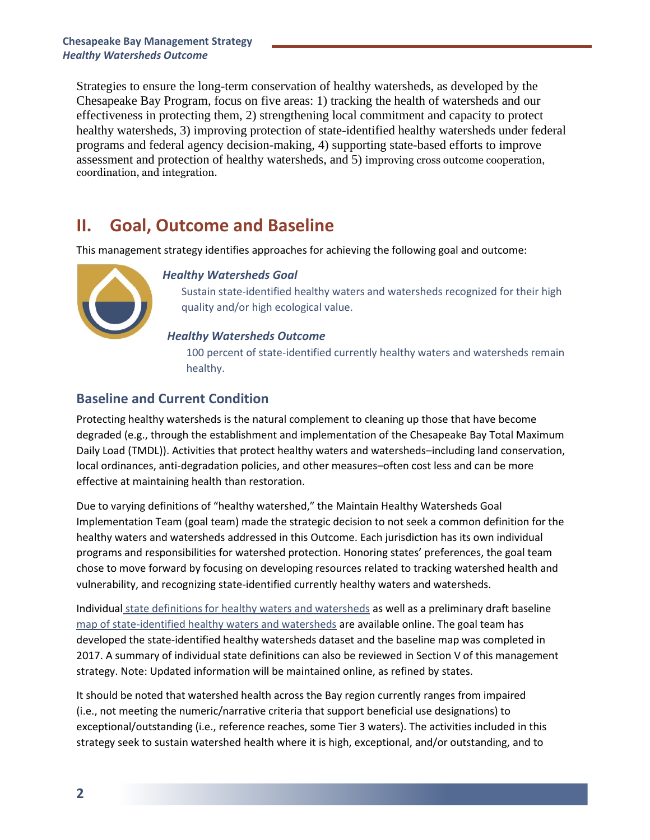Strategies to ensure the long-term conservation of healthy watersheds, as developed by the Chesapeake Bay Program, focus on five areas: 1) tracking the health of watersheds and our effectiveness in protecting them, 2) strengthening local commitment and capacity to protect healthy watersheds, 3) improving protection of state-identified healthy watersheds under federal programs and federal agency decision-making, 4) supporting state-based efforts to improve assessment and protection of healthy watersheds, and 5) improving cross outcome cooperation, coordination, and integration.

# **II. Goal, Outcome and Baseline**

This management strategy identifies approaches for achieving the following goal and outcome:



# *Healthy Watersheds Goal*

Sustain state-identified healthy waters and watersheds recognized for their high quality and/or high ecological value.

# *Healthy Watersheds Outcome*

100 percent of state-identified currently healthy waters and watersheds remain healthy.

# **Baseline and Current Condition**

Protecting healthy watersheds is the natural complement to cleaning up those that have become degraded (e.g., through the establishment and implementation of the Chesapeake Bay Total Maximum Daily Load (TMDL)). Activities that protect healthy waters and watersheds–including land conservation, local ordinances, anti-degradation policies, and other measures–often cost less and can be more effective at maintaining health than restoration.

Due to varying definitions of "healthy watershed," the Maintain Healthy Watersheds Goal Implementation Team (goal team) made the strategic decision to not seek a common definition for the healthy waters and watersheds addressed in this Outcome. Each jurisdiction has its own individual programs and responsibilities for watershed protection. Honoring states' preferences, the goal team chose to move forward by focusing on developing resources related to tracking watershed health and vulnerability, and recognizing state-identified currently healthy waters and watersheds.

Individual [state definitions for healthy waters and watersheds](https://stat.chesapeakebay.net/?q=node/131&quicktabs_21=0) as well as a preliminary draft baseline [map of state-identified healthy waters and watersheds](https://www.chesapeakebay.net/channel_files/25452/healthy_watersheds_pl_update.pdf) are available online. The goal team has developed the state-identified healthy watersheds dataset and the baseline map was completed in 2017. A summary of individual state definitions can also be reviewed in Section V of this management strategy. Note: Updated information will be maintained online, as refined by states.

It should be noted that watershed health across the Bay region currently ranges from impaired (i.e., not meeting the numeric/narrative criteria that support beneficial use designations) to exceptional/outstanding (i.e., reference reaches, some Tier 3 waters). The activities included in this strategy seek to sustain watershed health where it is high, exceptional, and/or outstanding, and to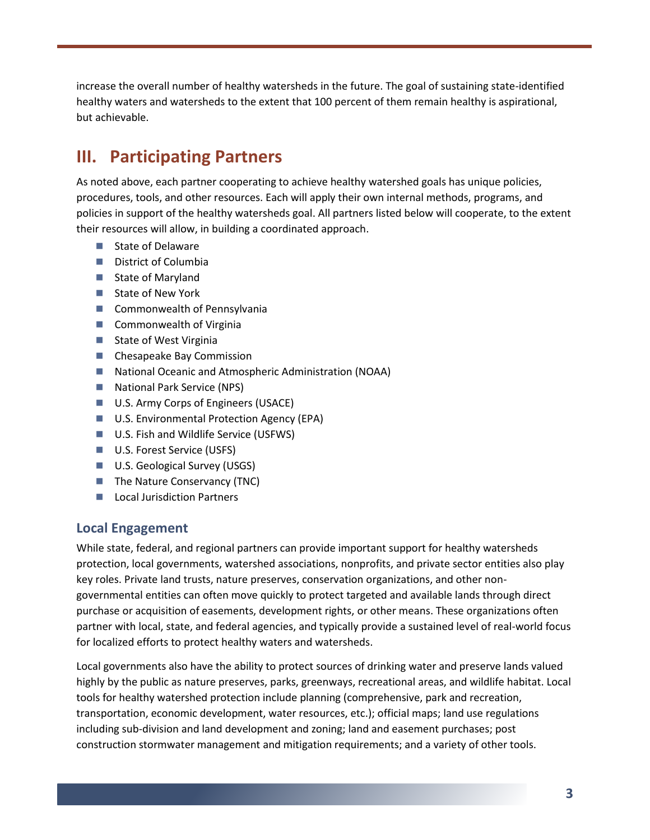increase the overall number of healthy watersheds in the future. The goal of sustaining state-identified healthy waters and watersheds to the extent that 100 percent of them remain healthy is aspirational, but achievable.

# **III. Participating Partners**

As noted above, each partner cooperating to achieve healthy watershed goals has unique policies, procedures, tools, and other resources. Each will apply their own internal methods, programs, and policies in support of the healthy watersheds goal. All partners listed below will cooperate, to the extent their resources will allow, in building a coordinated approach.

- State of Delaware
- District of Columbia
- State of Maryland
- State of New York
- Commonwealth of Pennsylvania
- Commonwealth of Virginia
- State of West Virginia
- Chesapeake Bay Commission
- National Oceanic and Atmospheric Administration (NOAA)
- National Park Service (NPS)
- U.S. Army Corps of Engineers (USACE)
- U.S. Environmental Protection Agency (EPA)
- U.S. Fish and Wildlife Service (USFWS)
- U.S. Forest Service (USFS)
- U.S. Geological Survey (USGS)
- The Nature Conservancy (TNC)
- Local Jurisdiction Partners

# **Local Engagement**

While state, federal, and regional partners can provide important support for healthy watersheds protection, local governments, watershed associations, nonprofits, and private sector entities also play key roles. Private land trusts, nature preserves, conservation organizations, and other nongovernmental entities can often move quickly to protect targeted and available lands through direct purchase or acquisition of easements, development rights, or other means. These organizations often partner with local, state, and federal agencies, and typically provide a sustained level of real-world focus for localized efforts to protect healthy waters and watersheds.

Local governments also have the ability to protect sources of drinking water and preserve lands valued highly by the public as nature preserves, parks, greenways, recreational areas, and wildlife habitat. Local tools for healthy watershed protection include planning (comprehensive, park and recreation, transportation, economic development, water resources, etc.); official maps; land use regulations including sub-division and land development and zoning; land and easement purchases; post construction stormwater management and mitigation requirements; and a variety of other tools.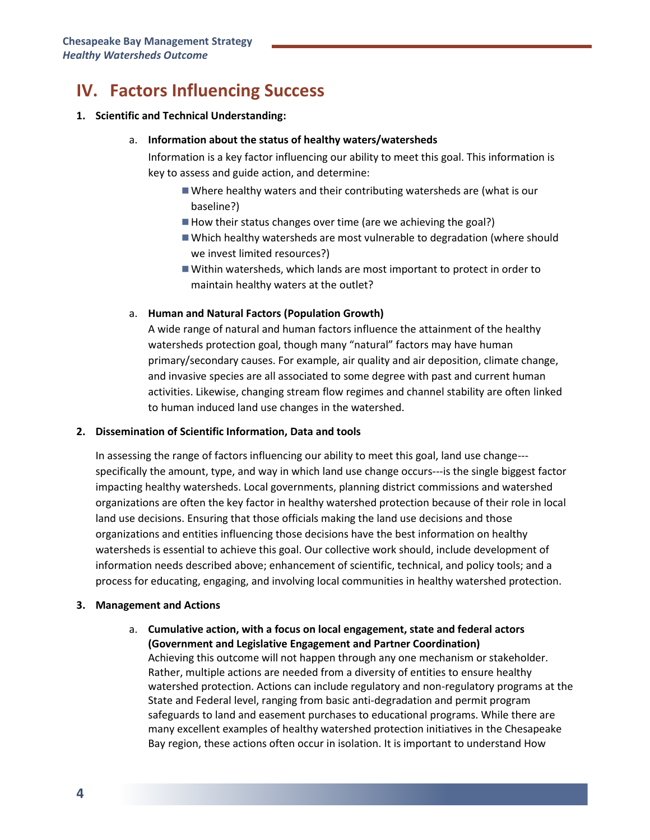# **IV. Factors Influencing Success**

#### **1. Scientific and Technical Understanding:**

#### a. **Information about the status of healthy waters/watersheds**

Information is a key factor influencing our ability to meet this goal. This information is key to assess and guide action, and determine:

- Where healthy waters and their contributing watersheds are (what is our baseline?)
- How their status changes over time (are we achieving the goal?)
- Which healthy watersheds are most vulnerable to degradation (where should we invest limited resources?)
- Within watersheds, which lands are most important to protect in order to maintain healthy waters at the outlet?

### a. **Human and Natural Factors (Population Growth)**

A wide range of natural and human factors influence the attainment of the healthy watersheds protection goal, though many "natural" factors may have human primary/secondary causes. For example, air quality and air deposition, climate change, and invasive species are all associated to some degree with past and current human activities. Likewise, changing stream flow regimes and channel stability are often linked to human induced land use changes in the watershed.

### **2. Dissemination of Scientific Information, Data and tools**

In assessing the range of factors influencing our ability to meet this goal, land use change-- specifically the amount, type, and way in which land use change occurs---is the single biggest factor impacting healthy watersheds. Local governments, planning district commissions and watershed organizations are often the key factor in healthy watershed protection because of their role in local land use decisions. Ensuring that those officials making the land use decisions and those organizations and entities influencing those decisions have the best information on healthy watersheds is essential to achieve this goal. Our collective work should, include development of information needs described above; enhancement of scientific, technical, and policy tools; and a process for educating, engaging, and involving local communities in healthy watershed protection.

### **3. Management and Actions**

a. **Cumulative action, with a focus on local engagement, state and federal actors (Government and Legislative Engagement and Partner Coordination)** Achieving this outcome will not happen through any one mechanism or stakeholder. Rather, multiple actions are needed from a diversity of entities to ensure healthy watershed protection. Actions can include regulatory and non-regulatory programs at the State and Federal level, ranging from basic anti-degradation and permit program safeguards to land and easement purchases to educational programs. While there are many excellent examples of healthy watershed protection initiatives in the Chesapeake Bay region, these actions often occur in isolation. It is important to understand How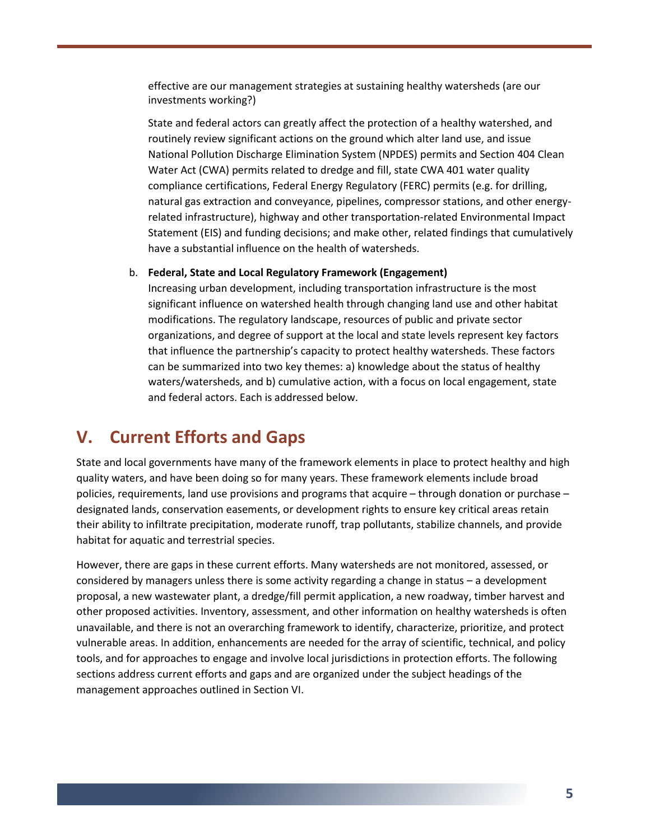effective are our management strategies at sustaining healthy watersheds (are our investments working?)

State and federal actors can greatly affect the protection of a healthy watershed, and routinely review significant actions on the ground which alter land use, and issue National Pollution Discharge Elimination System (NPDES) permits and Section 404 Clean Water Act (CWA) permits related to dredge and fill, state CWA 401 water quality compliance certifications, Federal Energy Regulatory (FERC) permits (e.g. for drilling, natural gas extraction and conveyance, pipelines, compressor stations, and other energyrelated infrastructure), highway and other transportation-related Environmental Impact Statement (EIS) and funding decisions; and make other, related findings that cumulatively have a substantial influence on the health of watersheds.

#### b. **Federal, State and Local Regulatory Framework (Engagement)**

Increasing urban development, including transportation infrastructure is the most significant influence on watershed health through changing land use and other habitat modifications. The regulatory landscape, resources of public and private sector organizations, and degree of support at the local and state levels represent key factors that influence the partnership's capacity to protect healthy watersheds. These factors can be summarized into two key themes: a) knowledge about the status of healthy waters/watersheds, and b) cumulative action, with a focus on local engagement, state and federal actors. Each is addressed below.

# **V. Current Efforts and Gaps**

State and local governments have many of the framework elements in place to protect healthy and high quality waters, and have been doing so for many years. These framework elements include broad policies, requirements, land use provisions and programs that acquire – through donation or purchase – designated lands, conservation easements, or development rights to ensure key critical areas retain their ability to infiltrate precipitation, moderate runoff, trap pollutants, stabilize channels, and provide habitat for aquatic and terrestrial species.

However, there are gaps in these current efforts. Many watersheds are not monitored, assessed, or considered by managers unless there is some activity regarding a change in status – a development proposal, a new wastewater plant, a dredge/fill permit application, a new roadway, timber harvest and other proposed activities. Inventory, assessment, and other information on healthy watersheds is often unavailable, and there is not an overarching framework to identify, characterize, prioritize, and protect vulnerable areas. In addition, enhancements are needed for the array of scientific, technical, and policy tools, and for approaches to engage and involve local jurisdictions in protection efforts. The following sections address current efforts and gaps and are organized under the subject headings of the management approaches outlined in Section VI.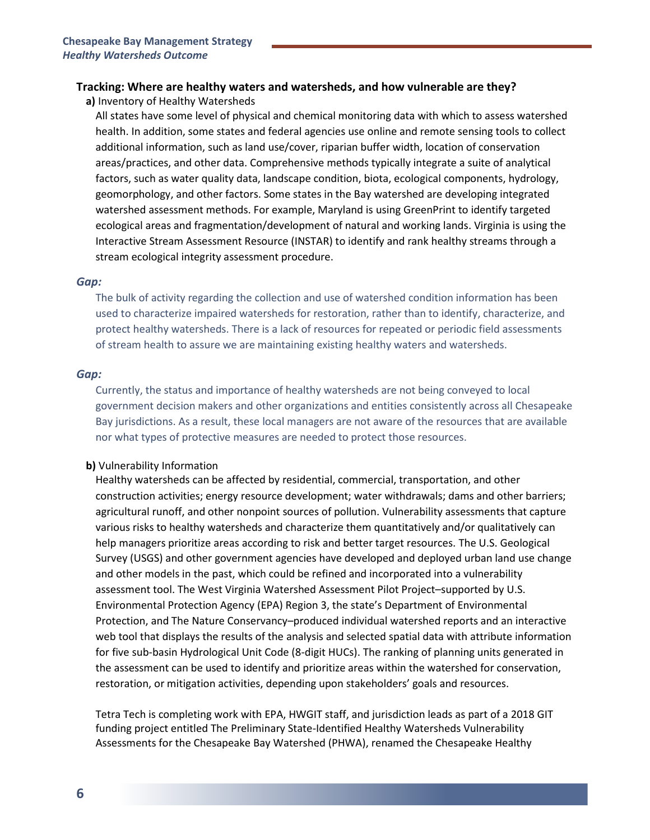# **Tracking: Where are healthy waters and watersheds, and how vulnerable are they?**

**a)** Inventory of Healthy Watersheds

All states have some level of physical and chemical monitoring data with which to assess watershed health. In addition, some states and federal agencies use online and remote sensing tools to collect additional information, such as land use/cover, riparian buffer width, location of conservation areas/practices, and other data. Comprehensive methods typically integrate a suite of analytical factors, such as water quality data, landscape condition, biota, ecological components, hydrology, geomorphology, and other factors. Some states in the Bay watershed are developing integrated watershed assessment methods. For example, Maryland is using GreenPrint to identify targeted ecological areas and fragmentation/development of natural and working lands. Virginia is using the Interactive Stream Assessment Resource (INSTAR) to identify and rank healthy streams through a stream ecological integrity assessment procedure.

#### *Gap:*

The bulk of activity regarding the collection and use of watershed condition information has been used to characterize impaired watersheds for restoration, rather than to identify, characterize, and protect healthy watersheds. There is a lack of resources for repeated or periodic field assessments of stream health to assure we are maintaining existing healthy waters and watersheds.

#### *Gap:*

Currently, the status and importance of healthy watersheds are not being conveyed to local government decision makers and other organizations and entities consistently across all Chesapeake Bay jurisdictions. As a result, these local managers are not aware of the resources that are available nor what types of protective measures are needed to protect those resources.

### **b)** Vulnerability Information

Healthy watersheds can be affected by residential, commercial, transportation, and other construction activities; energy resource development; water withdrawals; dams and other barriers; agricultural runoff, and other nonpoint sources of pollution. Vulnerability assessments that capture various risks to healthy watersheds and characterize them quantitatively and/or qualitatively can help managers prioritize areas according to risk and better target resources. The U.S. Geological Survey (USGS) and other government agencies have developed and deployed urban land use change and other models in the past, which could be refined and incorporated into a vulnerability assessment tool. The West Virginia Watershed Assessment Pilot Project–supported by U.S. Environmental Protection Agency (EPA) Region 3, the state's Department of Environmental Protection, and The Nature Conservancy–produced individual watershed reports and an interactive web tool that displays the results of the analysis and selected spatial data with attribute information for five sub-basin Hydrological Unit Code (8-digit HUCs). The ranking of planning units generated in the assessment can be used to identify and prioritize areas within the watershed for conservation, restoration, or mitigation activities, depending upon stakeholders' goals and resources.

Tetra Tech is completing work with EPA, HWGIT staff, and jurisdiction leads as part of a 2018 GIT funding project entitled The Preliminary State-Identified Healthy Watersheds Vulnerability Assessments for the Chesapeake Bay Watershed (PHWA), renamed the Chesapeake Healthy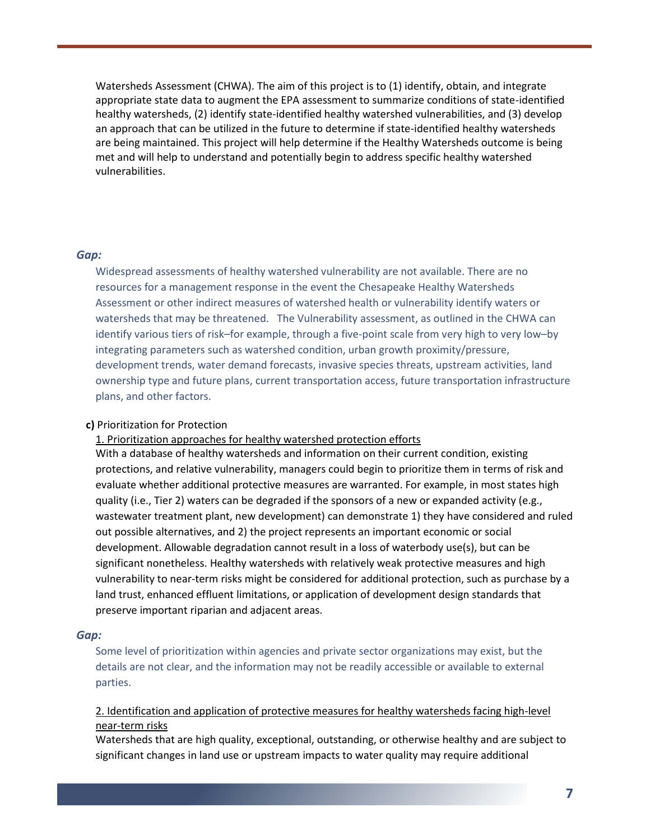Watersheds Assessment (CHWA). The aim of this project is to (1) identify, obtain, and integrate appropriate state data to augment the EPA assessment to summarize conditions of state-identified healthy watersheds, (2) identify state-identified healthy watershed vulnerabilities, and (3) develop an approach that can be utilized in the future to determine if state-identified healthy watersheds are being maintained. This project will help determine if the Healthy Watersheds outcome is being met and will help to understand and potentially begin to address specific healthy watershed vulnerabilities.

#### *Gap:*

Widespread assessments of healthy watershed vulnerability are not available. There are no resources for a management response in the event the Chesapeake Healthy Watersheds Assessment or other indirect measures of watershed health or vulnerability identify waters or watersheds that may be threatened. The Vulnerability assessment, as outlined in the CHWA can identify various tiers of risk–for example, through a five-point scale from very high to very low–by integrating parameters such as watershed condition, urban growth proximity/pressure, development trends, water demand forecasts, invasive species threats, upstream activities, land ownership type and future plans, current transportation access, future transportation infrastructure plans, and other factors.

#### **c)** Prioritization for Protection

1. Prioritization approaches for healthy watershed protection efforts

With a database of healthy watersheds and information on their current condition, existing protections, and relative vulnerability, managers could begin to prioritize them in terms of risk and evaluate whether additional protective measures are warranted. For example, in most states high quality (i.e., Tier 2) waters can be degraded if the sponsors of a new or expanded activity (e.g., wastewater treatment plant, new development) can demonstrate 1) they have considered and ruled out possible alternatives, and 2) the project represents an important economic or social development. Allowable degradation cannot result in a loss of waterbody use(s), but can be significant nonetheless. Healthy watersheds with relatively weak protective measures and high vulnerability to near-term risks might be considered for additional protection, such as purchase by a land trust, enhanced effluent limitations, or application of development design standards that preserve important riparian and adjacent areas.

#### *Gap:*

Some level of prioritization within agencies and private sector organizations may exist, but the details are not clear, and the information may not be readily accessible or available to external parties.

# 2. Identification and application of protective measures for healthy watersheds facing high-level near-term risks

Watersheds that are high quality, exceptional, outstanding, or otherwise healthy and are subject to significant changes in land use or upstream impacts to water quality may require additional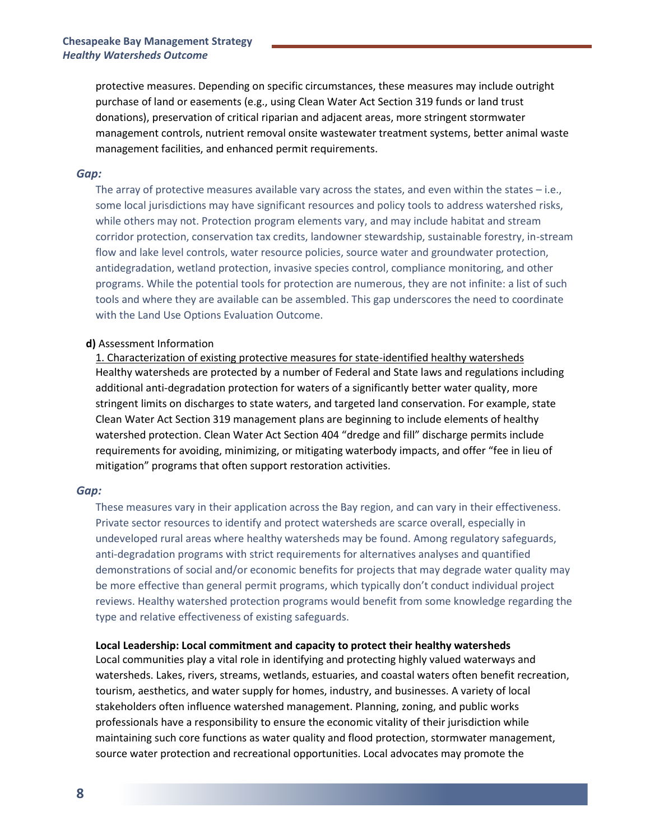protective measures. Depending on specific circumstances, these measures may include outright purchase of land or easements (e.g., using Clean Water Act Section 319 funds or land trust donations), preservation of critical riparian and adjacent areas, more stringent stormwater management controls, nutrient removal onsite wastewater treatment systems, better animal waste management facilities, and enhanced permit requirements.

#### *Gap:*

The array of protective measures available vary across the states, and even within the states – i.e., some local jurisdictions may have significant resources and policy tools to address watershed risks, while others may not. Protection program elements vary, and may include habitat and stream corridor protection, conservation tax credits, landowner stewardship, sustainable forestry, in-stream flow and lake level controls, water resource policies, source water and groundwater protection, antidegradation, wetland protection, invasive species control, compliance monitoring, and other programs. While the potential tools for protection are numerous, they are not infinite: a list of such tools and where they are available can be assembled. This gap underscores the need to coordinate with the Land Use Options Evaluation Outcome.

#### **d)** Assessment Information

1. Characterization of existing protective measures for state-identified healthy watersheds Healthy watersheds are protected by a number of Federal and State laws and regulations including additional anti-degradation protection for waters of a significantly better water quality, more stringent limits on discharges to state waters, and targeted land conservation. For example, state Clean Water Act Section 319 management plans are beginning to include elements of healthy watershed protection. Clean Water Act Section 404 "dredge and fill" discharge permits include requirements for avoiding, minimizing, or mitigating waterbody impacts, and offer "fee in lieu of mitigation" programs that often support restoration activities.

#### *Gap:*

These measures vary in their application across the Bay region, and can vary in their effectiveness. Private sector resources to identify and protect watersheds are scarce overall, especially in undeveloped rural areas where healthy watersheds may be found. Among regulatory safeguards, anti-degradation programs with strict requirements for alternatives analyses and quantified demonstrations of social and/or economic benefits for projects that may degrade water quality may be more effective than general permit programs, which typically don't conduct individual project reviews. Healthy watershed protection programs would benefit from some knowledge regarding the type and relative effectiveness of existing safeguards.

#### **Local Leadership: Local commitment and capacity to protect their healthy watersheds**

Local communities play a vital role in identifying and protecting highly valued waterways and watersheds. Lakes, rivers, streams, wetlands, estuaries, and coastal waters often benefit recreation, tourism, aesthetics, and water supply for homes, industry, and businesses. A variety of local stakeholders often influence watershed management. Planning, zoning, and public works professionals have a responsibility to ensure the economic vitality of their jurisdiction while maintaining such core functions as water quality and flood protection, stormwater management, source water protection and recreational opportunities. Local advocates may promote the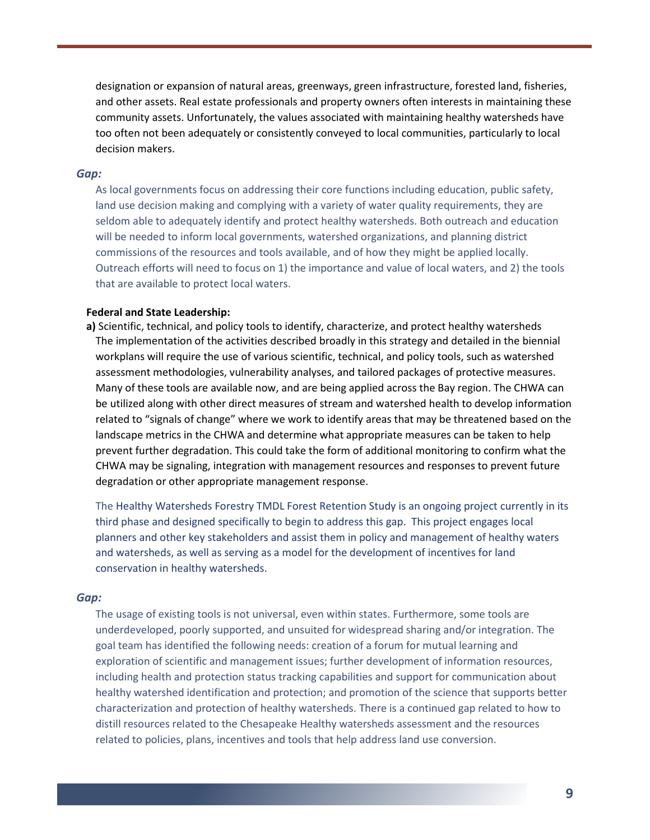designation or expansion of natural areas, greenways, green infrastructure, forested land, fisheries, and other assets. Real estate professionals and property owners often interests in maintaining these community assets. Unfortunately, the values associated with maintaining healthy watersheds have too often not been adequately or consistently conveyed to local communities, particularly to local decision makers.

#### *Gap:*

As local governments focus on addressing their core functions including education, public safety, land use decision making and complying with a variety of water quality requirements, they are seldom able to adequately identify and protect healthy watersheds. Both outreach and education will be needed to inform local governments, watershed organizations, and planning district commissions of the resources and tools available, and of how they might be applied locally. Outreach efforts will need to focus on 1) the importance and value of local waters, and 2) the tools that are available to protect local waters.

#### **Federal and State Leadership:**

**a)** Scientific, technical, and policy tools to identify, characterize, and protect healthy watersheds The implementation of the activities described broadly in this strategy and detailed in the biennial workplans will require the use of various scientific, technical, and policy tools, such as watershed assessment methodologies, vulnerability analyses, and tailored packages of protective measures. Many of these tools are available now, and are being applied across the Bay region. The CHWA can be utilized along with other direct measures of stream and watershed health to develop information related to "signals of change" where we work to identify areas that may be threatened based on the landscape metrics in the CHWA and determine what appropriate measures can be taken to help prevent further degradation. This could take the form of additional monitoring to confirm what the CHWA may be signaling, integration with management resources and responses to prevent future degradation or other appropriate management response.

The Healthy Watersheds Forestry TMDL Forest Retention Study is an ongoing project currently in its third phase and designed specifically to begin to address this gap. This project engages local planners and other key stakeholders and assist them in policy and management of healthy waters and watersheds, as well as serving as a model for the development of incentives for land conservation in healthy watersheds.

#### *Gap:*

The usage of existing tools is not universal, even within states. Furthermore, some tools are underdeveloped, poorly supported, and unsuited for widespread sharing and/or integration. The goal team has identified the following needs: creation of a forum for mutual learning and exploration of scientific and management issues; further development of information resources, including health and protection status tracking capabilities and support for communication about healthy watershed identification and protection; and promotion of the science that supports better characterization and protection of healthy watersheds. There is a continued gap related to how to distill resources related to the Chesapeake Healthy watersheds assessment and the resources related to policies, plans, incentives and tools that help address land use conversion.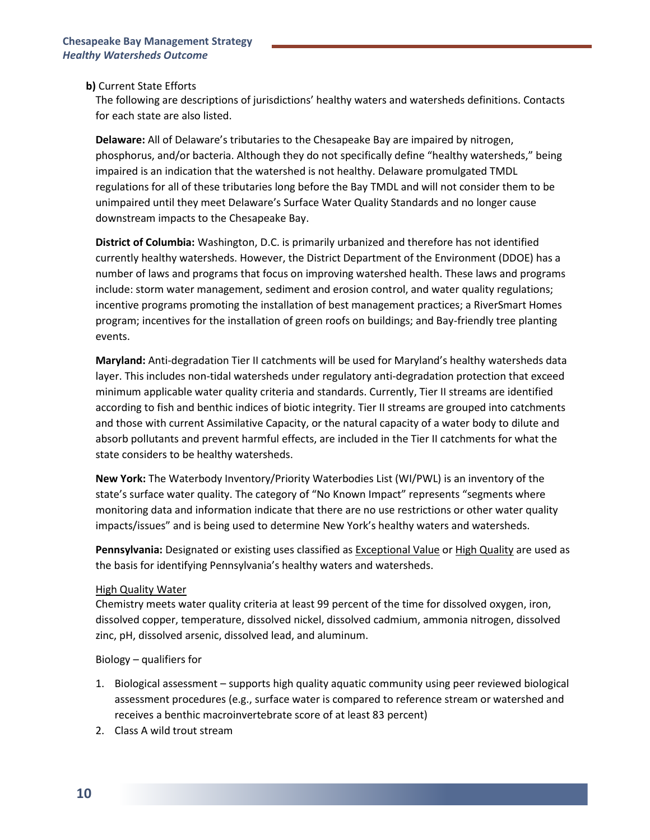### **b)** Current State Efforts

The following are descriptions of jurisdictions' healthy waters and watersheds definitions. Contacts for each state are also listed.

**Delaware:** All of Delaware's tributaries to the Chesapeake Bay are impaired by nitrogen, phosphorus, and/or bacteria. Although they do not specifically define "healthy watersheds," being impaired is an indication that the watershed is not healthy. Delaware promulgated TMDL regulations for all of these tributaries long before the Bay TMDL and will not consider them to be unimpaired until they meet Delaware's Surface Water Quality Standards and no longer cause downstream impacts to the Chesapeake Bay.

**District of Columbia:** Washington, D.C. is primarily urbanized and therefore has not identified currently healthy watersheds. However, the District Department of the Environment (DDOE) has a number of laws and programs that focus on improving watershed health. These laws and programs include: storm water management, sediment and erosion control, and water quality regulations; incentive programs promoting the installation of best management practices; a RiverSmart Homes program; incentives for the installation of green roofs on buildings; and Bay-friendly tree planting events.

**Maryland:** Anti-degradation Tier II catchments will be used for Maryland's healthy watersheds data layer. This includes non-tidal watersheds under regulatory anti-degradation protection that exceed minimum applicable water quality criteria and standards. Currently, Tier II streams are identified according to fish and benthic indices of biotic integrity. Tier II streams are grouped into catchments and those with current Assimilative Capacity, or the natural capacity of a water body to dilute and absorb pollutants and prevent harmful effects, are included in the Tier II catchments for what the state considers to be healthy watersheds.

**New York:** The Waterbody Inventory/Priority Waterbodies List (WI/PWL) is an inventory of the state's surface water quality. The category of "No Known Impact" represents "segments where monitoring data and information indicate that there are no use restrictions or other water quality impacts/issues" and is being used to determine New York's healthy waters and watersheds.

**Pennsylvania:** Designated or existing uses classified as Exceptional Value or High Quality are used as the basis for identifying Pennsylvania's healthy waters and watersheds.

### High Quality Water

Chemistry meets water quality criteria at least 99 percent of the time for dissolved oxygen, iron, dissolved copper, temperature, dissolved nickel, dissolved cadmium, ammonia nitrogen, dissolved zinc, pH, dissolved arsenic, dissolved lead, and aluminum.

### Biology – qualifiers for

- 1. Biological assessment supports high quality aquatic community using peer reviewed biological assessment procedures (e.g., surface water is compared to reference stream or watershed and receives a benthic macroinvertebrate score of at least 83 percent)
- 2. Class A wild trout stream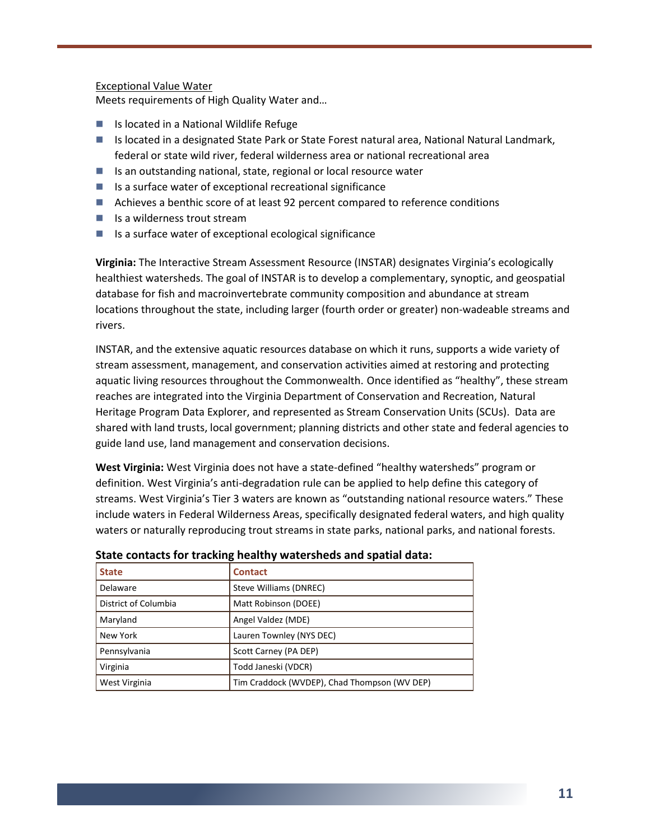### Exceptional Value Water

Meets requirements of High Quality Water and…

- Is located in a National Wildlife Refuge
- Is located in a designated State Park or State Forest natural area, National Natural Landmark, federal or state wild river, federal wilderness area or national recreational area
- Is an outstanding national, state, regional or local resource water
- Is a surface water of exceptional recreational significance
- Achieves a benthic score of at least 92 percent compared to reference conditions
- $\blacksquare$  Is a wilderness trout stream
- Is a surface water of exceptional ecological significance

**Virginia:** The Interactive Stream Assessment Resource (INSTAR) designates Virginia's ecologically healthiest watersheds. The goal of INSTAR is to develop a complementary, synoptic, and geospatial database for fish and macroinvertebrate community composition and abundance at stream locations throughout the state, including larger (fourth order or greater) non-wadeable streams and rivers.

INSTAR, and the extensive aquatic resources database on which it runs, supports a wide variety of stream assessment, management, and conservation activities aimed at restoring and protecting aquatic living resources throughout the Commonwealth. Once identified as "healthy", these stream reaches are integrated into the Virginia Department of Conservation and Recreation, Natural Heritage Program Data Explorer, and represented as Stream Conservation Units (SCUs). Data are shared with land trusts, local government; planning districts and other state and federal agencies to guide land use, land management and conservation decisions.

**West Virginia:** West Virginia does not have a state-defined "healthy watersheds" program or definition. West Virginia's anti-degradation rule can be applied to help define this category of streams. West Virginia's Tier 3 waters are known as "outstanding national resource waters." These include waters in Federal Wilderness Areas, specifically designated federal waters, and high quality waters or naturally reproducing trout streams in state parks, national parks, and national forests.

| <b>State</b>         | <b>Contact</b>                               |
|----------------------|----------------------------------------------|
| Delaware             | Steve Williams (DNREC)                       |
| District of Columbia | Matt Robinson (DOEE)                         |
| Maryland             | Angel Valdez (MDE)                           |
| New York             | Lauren Townley (NYS DEC)                     |
| Pennsylvania         | Scott Carney (PA DEP)                        |
| Virginia             | Todd Janeski (VDCR)                          |
| West Virginia        | Tim Craddock (WVDEP), Chad Thompson (WV DEP) |

| State contacts for tracking healthy watersheds and spatial data: |  |
|------------------------------------------------------------------|--|
|------------------------------------------------------------------|--|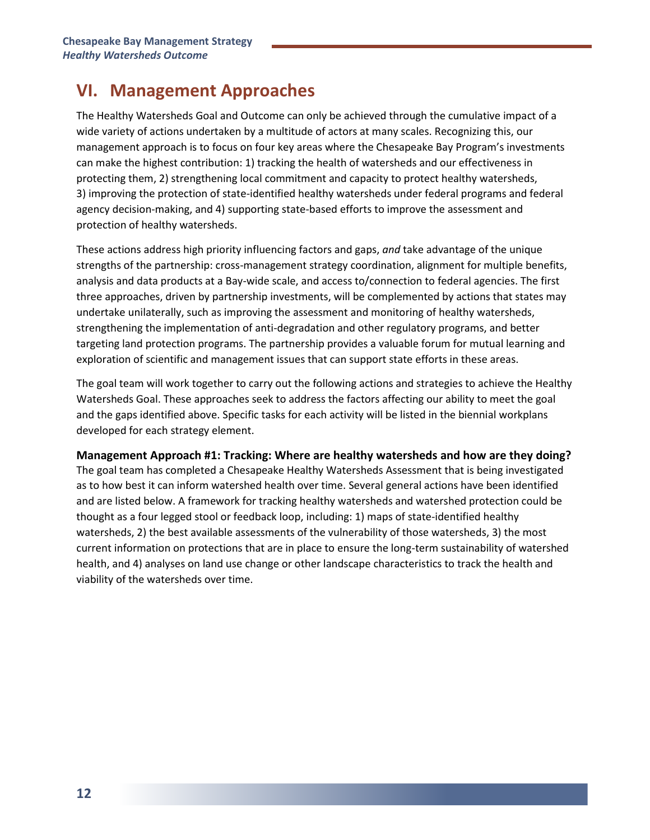# **VI. Management Approaches**

The Healthy Watersheds Goal and Outcome can only be achieved through the cumulative impact of a wide variety of actions undertaken by a multitude of actors at many scales. Recognizing this, our management approach is to focus on four key areas where the Chesapeake Bay Program's investments can make the highest contribution: 1) tracking the health of watersheds and our effectiveness in protecting them, 2) strengthening local commitment and capacity to protect healthy watersheds, 3) improving the protection of state-identified healthy watersheds under federal programs and federal agency decision-making, and 4) supporting state-based efforts to improve the assessment and protection of healthy watersheds.

These actions address high priority influencing factors and gaps, *and* take advantage of the unique strengths of the partnership: cross-management strategy coordination, alignment for multiple benefits, analysis and data products at a Bay-wide scale, and access to/connection to federal agencies. The first three approaches, driven by partnership investments, will be complemented by actions that states may undertake unilaterally, such as improving the assessment and monitoring of healthy watersheds, strengthening the implementation of anti-degradation and other regulatory programs, and better targeting land protection programs. The partnership provides a valuable forum for mutual learning and exploration of scientific and management issues that can support state efforts in these areas.

The goal team will work together to carry out the following actions and strategies to achieve the Healthy Watersheds Goal. These approaches seek to address the factors affecting our ability to meet the goal and the gaps identified above. Specific tasks for each activity will be listed in the biennial workplans developed for each strategy element.

**Management Approach #1: Tracking: Where are healthy watersheds and how are they doing?** The goal team has completed a Chesapeake Healthy Watersheds Assessment that is being investigated as to how best it can inform watershed health over time. Several general actions have been identified and are listed below. A framework for tracking healthy watersheds and watershed protection could be thought as a four legged stool or feedback loop, including: 1) maps of state-identified healthy watersheds, 2) the best available assessments of the vulnerability of those watersheds, 3) the most current information on protections that are in place to ensure the long-term sustainability of watershed health, and 4) analyses on land use change or other landscape characteristics to track the health and viability of the watersheds over time.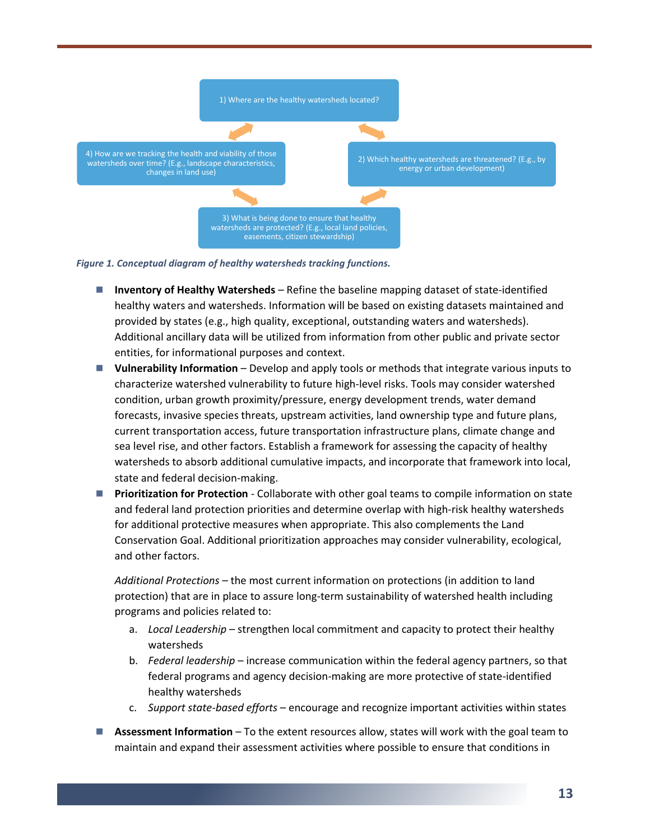



- **Inventory of Healthy Watersheds** Refine the baseline mapping dataset of state-identified healthy waters and watersheds. Information will be based on existing datasets maintained and provided by states (e.g., high quality, exceptional, outstanding waters and watersheds). Additional ancillary data will be utilized from information from other public and private sector entities, for informational purposes and context.
- **Vulnerability Information** Develop and apply tools or methods that integrate various inputs to characterize watershed vulnerability to future high-level risks. Tools may consider watershed condition, urban growth proximity/pressure, energy development trends, water demand forecasts, invasive species threats, upstream activities, land ownership type and future plans, current transportation access, future transportation infrastructure plans, climate change and sea level rise, and other factors. Establish a framework for assessing the capacity of healthy watersheds to absorb additional cumulative impacts, and incorporate that framework into local, state and federal decision-making.
- **Prioritization for Protection** Collaborate with other goal teams to compile information on state and federal land protection priorities and determine overlap with high-risk healthy watersheds for additional protective measures when appropriate. This also complements the Land Conservation Goal. Additional prioritization approaches may consider vulnerability, ecological, and other factors.

*Additional Protections* – the most current information on protections (in addition to land protection) that are in place to assure long-term sustainability of watershed health including programs and policies related to:

- a. *Local Leadership* strengthen local commitment and capacity to protect their healthy watersheds
- b. *Federal leadership* increase communication within the federal agency partners, so that federal programs and agency decision-making are more protective of state-identified healthy watersheds
- c. *Support state-based efforts* encourage and recognize important activities within states
- **Assessment Information** To the extent resources allow, states will work with the goal team to maintain and expand their assessment activities where possible to ensure that conditions in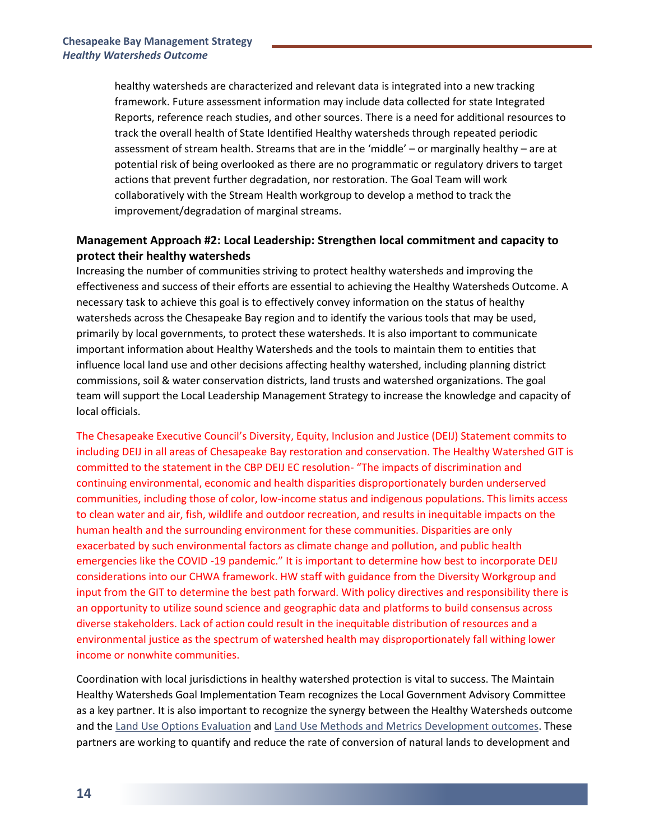healthy watersheds are characterized and relevant data is integrated into a new tracking framework. Future assessment information may include data collected for state Integrated Reports, reference reach studies, and other sources. There is a need for additional resources to track the overall health of State Identified Healthy watersheds through repeated periodic assessment of stream health. Streams that are in the 'middle' – or marginally healthy – are at potential risk of being overlooked as there are no programmatic or regulatory drivers to target actions that prevent further degradation, nor restoration. The Goal Team will work collaboratively with the Stream Health workgroup to develop a method to track the improvement/degradation of marginal streams.

# **Management Approach #2: Local Leadership: Strengthen local commitment and capacity to protect their healthy watersheds**

Increasing the number of communities striving to protect healthy watersheds and improving the effectiveness and success of their efforts are essential to achieving the Healthy Watersheds Outcome. A necessary task to achieve this goal is to effectively convey information on the status of healthy watersheds across the Chesapeake Bay region and to identify the various tools that may be used, primarily by local governments, to protect these watersheds. It is also important to communicate important information about Healthy Watersheds and the tools to maintain them to entities that influence local land use and other decisions affecting healthy watershed, including planning district commissions, soil & water conservation districts, land trusts and watershed organizations. The goal team will support the Local Leadership Management Strategy to increase the knowledge and capacity of local officials.

The Chesapeake Executive Council's Diversity, Equity, Inclusion and Justice (DEIJ) Statement commits to including DEIJ in all areas of Chesapeake Bay restoration and conservation. The Healthy Watershed GIT is committed to the statement in the CBP DEIJ EC resolution- "The impacts of discrimination and continuing environmental, economic and health disparities disproportionately burden underserved communities, including those of color, low-income status and indigenous populations. This limits access to clean water and air, fish, wildlife and outdoor recreation, and results in inequitable impacts on the human health and the surrounding environment for these communities. Disparities are only exacerbated by such environmental factors as climate change and pollution, and public health emergencies like the COVID -19 pandemic." It is important to determine how best to incorporate DEIJ considerations into our CHWA framework. HW staff with guidance from the Diversity Workgroup and input from the GIT to determine the best path forward. With policy directives and responsibility there is an opportunity to utilize sound science and geographic data and platforms to build consensus across diverse stakeholders. Lack of action could result in the inequitable distribution of resources and a environmental justice as the spectrum of watershed health may disproportionately fall withing lower income or nonwhite communities.

Coordination with local jurisdictions in healthy watershed protection is vital to success. The Maintain Healthy Watersheds Goal Implementation Team recognizes the Local Government Advisory Committee as a key partner. It is also important to recognize the synergy between the Healthy Watersheds outcome and th[e Land Use Options Evaluation](http://www.chesapeakebay.net/managementstrategies/strategy/land_use_options_evaluation) an[d Land Use Methods and Metrics Development](http://www.chesapeakebay.net/managementstrategies/strategy/land_use_methods_and_metrics_development) outcomes. These partners are working to quantify and reduce the rate of conversion of natural lands to development and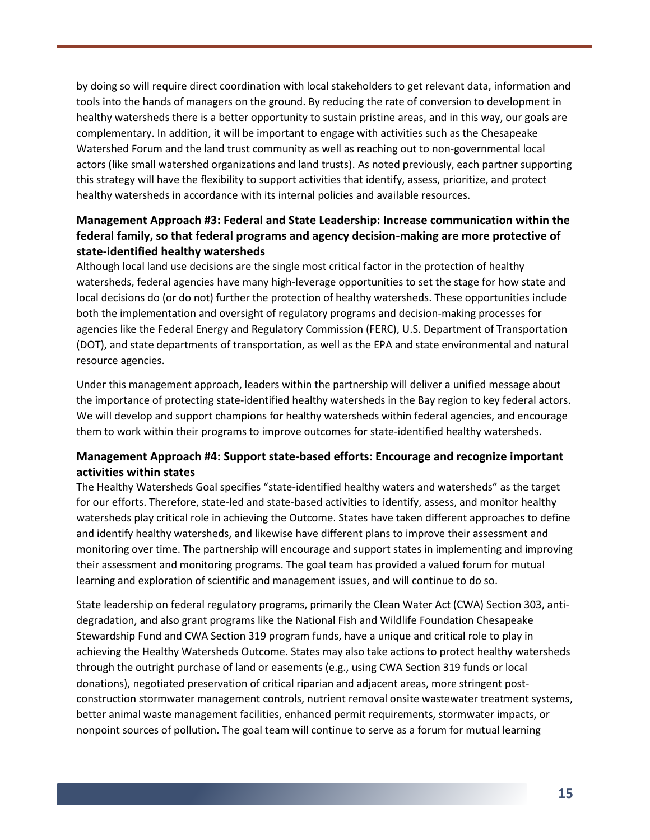by doing so will require direct coordination with local stakeholders to get relevant data, information and tools into the hands of managers on the ground. By reducing the rate of conversion to development in healthy watersheds there is a better opportunity to sustain pristine areas, and in this way, our goals are complementary. In addition, it will be important to engage with activities such as the Chesapeake Watershed Forum and the land trust community as well as reaching out to non-governmental local actors (like small watershed organizations and land trusts). As noted previously, each partner supporting this strategy will have the flexibility to support activities that identify, assess, prioritize, and protect healthy watersheds in accordance with its internal policies and available resources.

# **Management Approach #3: Federal and State Leadership: Increase communication within the federal family, so that federal programs and agency decision-making are more protective of state-identified healthy watersheds**

Although local land use decisions are the single most critical factor in the protection of healthy watersheds, federal agencies have many high-leverage opportunities to set the stage for how state and local decisions do (or do not) further the protection of healthy watersheds. These opportunities include both the implementation and oversight of regulatory programs and decision-making processes for agencies like the Federal Energy and Regulatory Commission (FERC), U.S. Department of Transportation (DOT), and state departments of transportation, as well as the EPA and state environmental and natural resource agencies.

Under this management approach, leaders within the partnership will deliver a unified message about the importance of protecting state-identified healthy watersheds in the Bay region to key federal actors. We will develop and support champions for healthy watersheds within federal agencies, and encourage them to work within their programs to improve outcomes for state-identified healthy watersheds.

# **Management Approach #4: Support state-based efforts: Encourage and recognize important activities within states**

The Healthy Watersheds Goal specifies "state-identified healthy waters and watersheds" as the target for our efforts. Therefore, state-led and state-based activities to identify, assess, and monitor healthy watersheds play critical role in achieving the Outcome. States have taken different approaches to define and identify healthy watersheds, and likewise have different plans to improve their assessment and monitoring over time. The partnership will encourage and support states in implementing and improving their assessment and monitoring programs. The goal team has provided a valued forum for mutual learning and exploration of scientific and management issues, and will continue to do so.

State leadership on federal regulatory programs, primarily the Clean Water Act (CWA) Section 303, antidegradation, and also grant programs like the National Fish and Wildlife Foundation Chesapeake Stewardship Fund and CWA Section 319 program funds, have a unique and critical role to play in achieving the Healthy Watersheds Outcome. States may also take actions to protect healthy watersheds through the outright purchase of land or easements (e.g., using CWA Section 319 funds or local donations), negotiated preservation of critical riparian and adjacent areas, more stringent postconstruction stormwater management controls, nutrient removal onsite wastewater treatment systems, better animal waste management facilities, enhanced permit requirements, stormwater impacts, or nonpoint sources of pollution. The goal team will continue to serve as a forum for mutual learning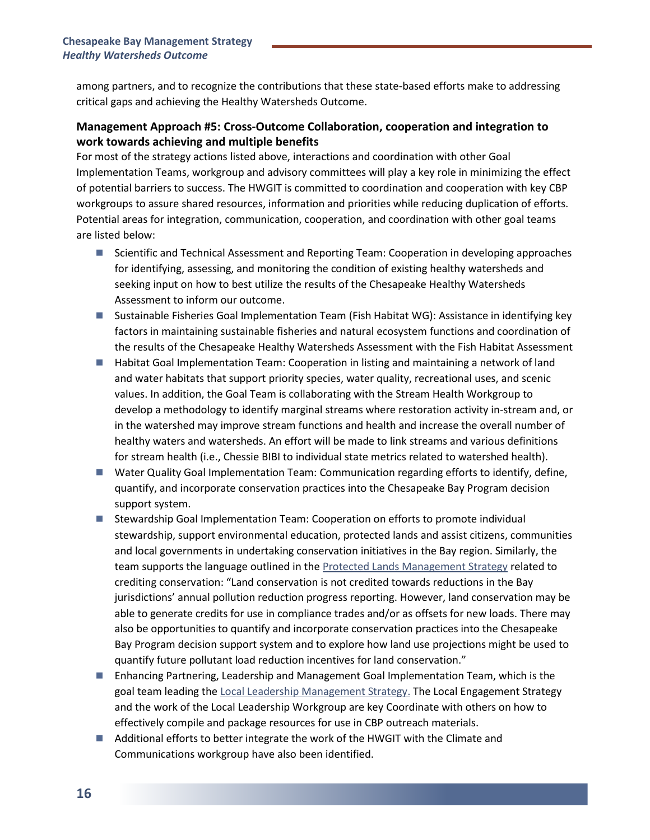among partners, and to recognize the contributions that these state-based efforts make to addressing critical gaps and achieving the Healthy Watersheds Outcome.

# **Management Approach #5: Cross-Outcome Collaboration, cooperation and integration to work towards achieving and multiple benefits**

For most of the strategy actions listed above, interactions and coordination with other Goal Implementation Teams, workgroup and advisory committees will play a key role in minimizing the effect of potential barriers to success. The HWGIT is committed to coordination and cooperation with key CBP workgroups to assure shared resources, information and priorities while reducing duplication of efforts. Potential areas for integration, communication, cooperation, and coordination with other goal teams are listed below:

- Scientific and Technical Assessment and Reporting Team: Cooperation in developing approaches for identifying, assessing, and monitoring the condition of existing healthy watersheds and seeking input on how to best utilize the results of the Chesapeake Healthy Watersheds Assessment to inform our outcome.
- Sustainable Fisheries Goal Implementation Team (Fish Habitat WG): Assistance in identifying key factors in maintaining sustainable fisheries and natural ecosystem functions and coordination of the results of the Chesapeake Healthy Watersheds Assessment with the Fish Habitat Assessment
- Habitat Goal Implementation Team: Cooperation in listing and maintaining a network of land and water habitats that support priority species, water quality, recreational uses, and scenic values. In addition, the Goal Team is collaborating with the Stream Health Workgroup to develop a methodology to identify marginal streams where restoration activity in-stream and, or in the watershed may improve stream functions and health and increase the overall number of healthy waters and watersheds. An effort will be made to link streams and various definitions for stream health (i.e., Chessie BIBI to individual state metrics related to watershed health).
- Water Quality Goal Implementation Team: Communication regarding efforts to identify, define, quantify, and incorporate conservation practices into the Chesapeake Bay Program decision support system.
- Stewardship Goal Implementation Team: Cooperation on efforts to promote individual stewardship, support environmental education, protected lands and assist citizens, communities and local governments in undertaking conservation initiatives in the Bay region. Similarly, the team supports the language outlined in the [Protected Lands Management Strategy](https://www.chesapeakebay.net/documents/22065/2018-2019_protected_lands_management_strategy.pdf) related to crediting conservation: "Land conservation is not credited towards reductions in the Bay jurisdictions' annual pollution reduction progress reporting. However, land conservation may be able to generate credits for use in compliance trades and/or as offsets for new loads. There may also be opportunities to quantify and incorporate conservation practices into the Chesapeake Bay Program decision support system and to explore how land use projections might be used to quantify future pollutant load reduction incentives for land conservation."
- Enhancing Partnering, Leadership and Management Goal Implementation Team, which is the goal team leading th[e Local Leadership Management Strategy.](https://www.chesapeakebay.net/documents/22051/2019-2020__local_leadership_workgroup_managment_strategy_(updated_04.23.19).pdf) The Local Engagement Strategy and the work of the Local Leadership Workgroup are key Coordinate with others on how to effectively compile and package resources for use in CBP outreach materials.
- Additional efforts to better integrate the work of the HWGIT with the Climate and Communications workgroup have also been identified.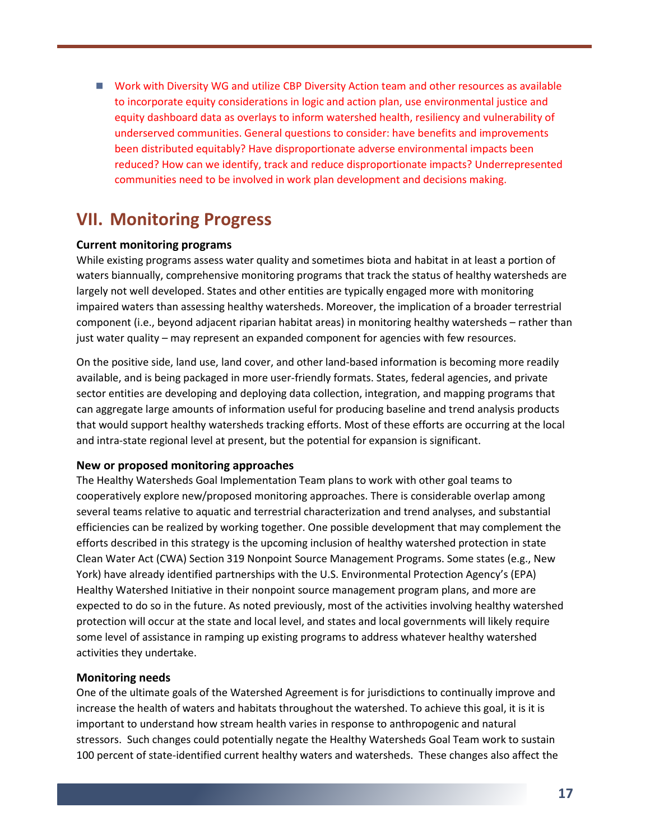■ Work with Diversity WG and utilize CBP Diversity Action team and other resources as available to incorporate equity considerations in logic and action plan, use environmental justice and equity dashboard data as overlays to inform watershed health, resiliency and vulnerability of underserved communities. General questions to consider: have benefits and improvements been distributed equitably? Have disproportionate adverse environmental impacts been reduced? How can we identify, track and reduce disproportionate impacts? Underrepresented communities need to be involved in work plan development and decisions making.

# **VII. Monitoring Progress**

### **Current monitoring programs**

While existing programs assess water quality and sometimes biota and habitat in at least a portion of waters biannually, comprehensive monitoring programs that track the status of healthy watersheds are largely not well developed. States and other entities are typically engaged more with monitoring impaired waters than assessing healthy watersheds. Moreover, the implication of a broader terrestrial component (i.e., beyond adjacent riparian habitat areas) in monitoring healthy watersheds – rather than just water quality – may represent an expanded component for agencies with few resources.

On the positive side, land use, land cover, and other land-based information is becoming more readily available, and is being packaged in more user-friendly formats. States, federal agencies, and private sector entities are developing and deploying data collection, integration, and mapping programs that can aggregate large amounts of information useful for producing baseline and trend analysis products that would support healthy watersheds tracking efforts. Most of these efforts are occurring at the local and intra-state regional level at present, but the potential for expansion is significant.

#### **New or proposed monitoring approaches**

The Healthy Watersheds Goal Implementation Team plans to work with other goal teams to cooperatively explore new/proposed monitoring approaches. There is considerable overlap among several teams relative to aquatic and terrestrial characterization and trend analyses, and substantial efficiencies can be realized by working together. One possible development that may complement the efforts described in this strategy is the upcoming inclusion of healthy watershed protection in state Clean Water Act (CWA) Section 319 Nonpoint Source Management Programs. Some states (e.g., New York) have already identified partnerships with the U.S. Environmental Protection Agency's (EPA) Healthy Watershed Initiative in their nonpoint source management program plans, and more are expected to do so in the future. As noted previously, most of the activities involving healthy watershed protection will occur at the state and local level, and states and local governments will likely require some level of assistance in ramping up existing programs to address whatever healthy watershed activities they undertake.

#### **Monitoring needs**

One of the ultimate goals of the Watershed Agreement is for jurisdictions to continually improve and increase the health of waters and habitats throughout the watershed. To achieve this goal, it is it is important to understand how stream health varies in response to anthropogenic and natural stressors. Such changes could potentially negate the Healthy Watersheds Goal Team work to sustain 100 percent of state-identified current healthy waters and watersheds. These changes also affect the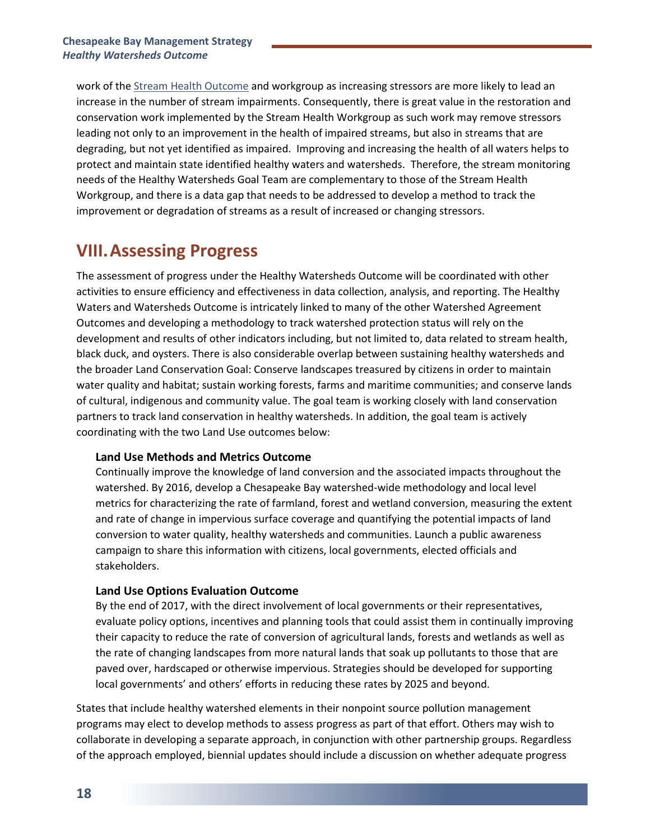work of the [Stream Health Outcome](http://www.chesapeakebay.net/managementstrategies/strategy/stream_health) and workgroup as increasing stressors are more likely to lead an increase in the number of stream impairments. Consequently, there is great value in the restoration and conservation work implemented by the Stream Health Workgroup as such work may remove stressors leading not only to an improvement in the health of impaired streams, but also in streams that are degrading, but not yet identified as impaired. Improving and increasing the health of all waters helps to protect and maintain state identified healthy waters and watersheds. Therefore, the stream monitoring needs of the Healthy Watersheds Goal Team are complementary to those of the Stream Health Workgroup, and there is a data gap that needs to be addressed to develop a method to track the improvement or degradation of streams as a result of increased or changing stressors.

# **VIII.Assessing Progress**

The assessment of progress under the Healthy Watersheds Outcome will be coordinated with other activities to ensure efficiency and effectiveness in data collection, analysis, and reporting. The Healthy Waters and Watersheds Outcome is intricately linked to many of the other Watershed Agreement Outcomes and developing a methodology to track watershed protection status will rely on the development and results of other indicators including, but not limited to, data related to stream health, black duck, and oysters. There is also considerable overlap between sustaining healthy watersheds and the broader Land Conservation Goal: Conserve landscapes treasured by citizens in order to maintain water quality and habitat; sustain working forests, farms and maritime communities; and conserve lands of cultural, indigenous and community value. The goal team is working closely with land conservation partners to track land conservation in healthy watersheds. In addition, the goal team is actively coordinating with the two Land Use outcomes below:

### **Land Use Methods and Metrics Outcome**

Continually improve the knowledge of land conversion and the associated impacts throughout the watershed. By 2016, develop a Chesapeake Bay watershed-wide methodology and local level metrics for characterizing the rate of farmland, forest and wetland conversion, measuring the extent and rate of change in impervious surface coverage and quantifying the potential impacts of land conversion to water quality, healthy watersheds and communities. Launch a public awareness campaign to share this information with citizens, local governments, elected officials and stakeholders.

# **Land Use Options Evaluation Outcome**

By the end of 2017, with the direct involvement of local governments or their representatives, evaluate policy options, incentives and planning tools that could assist them in continually improving their capacity to reduce the rate of conversion of agricultural lands, forests and wetlands as well as the rate of changing landscapes from more natural lands that soak up pollutants to those that are paved over, hardscaped or otherwise impervious. Strategies should be developed for supporting local governments' and others' efforts in reducing these rates by 2025 and beyond.

States that include healthy watershed elements in their nonpoint source pollution management programs may elect to develop methods to assess progress as part of that effort. Others may wish to collaborate in developing a separate approach, in conjunction with other partnership groups. Regardless of the approach employed, biennial updates should include a discussion on whether adequate progress